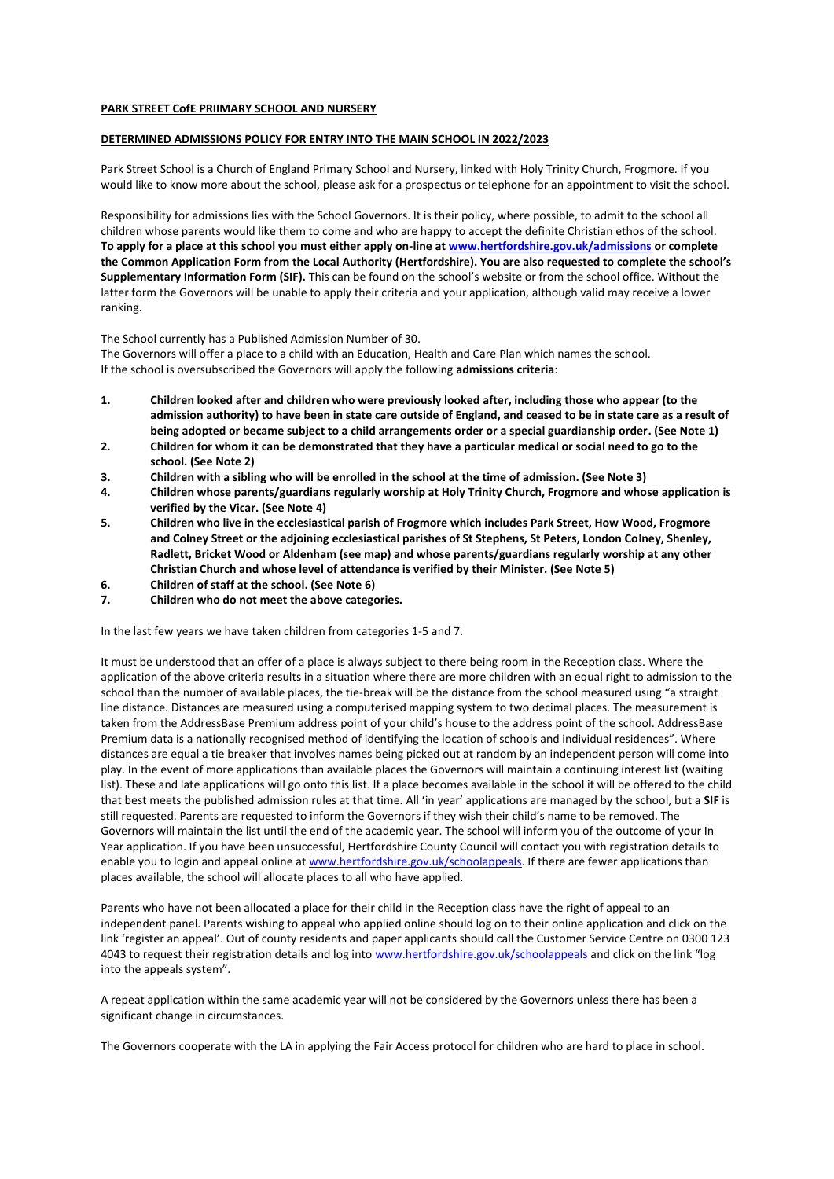## **PARK STREET CofE PRIIMARY SCHOOL AND NURSERY**

## **DETERMINED ADMISSIONS POLICY FOR ENTRY INTO THE MAIN SCHOOL IN 2022/2023**

Park Street School is a Church of England Primary School and Nursery, linked with Holy Trinity Church, Frogmore. If you would like to know more about the school, please ask for a prospectus or telephone for an appointment to visit the school.

Responsibility for admissions lies with the School Governors. It is their policy, where possible, to admit to the school all children whose parents would like them to come and who are happy to accept the definite Christian ethos of the school. **To apply for a place at this school you must either apply on-line a[t www.hertfordshire.gov.uk/admissions](http://www.hertsdirect.org/) or complete the Common Application Form from the Local Authority (Hertfordshire). You are also requested to complete the school's Supplementary Information Form (SIF).** This can be found on the school's website or from the school office. Without the latter form the Governors will be unable to apply their criteria and your application, although valid may receive a lower ranking.

The School currently has a Published Admission Number of 30.

The Governors will offer a place to a child with an Education, Health and Care Plan which names the school. If the school is oversubscribed the Governors will apply the following **admissions criteria**:

- **1. Children looked after and children who were previously looked after, including those who appear (to the admission authority) to have been in state care outside of England, and ceased to be in state care as a result of being adopted or became subject to a child arrangements order or a special guardianship order. (See Note 1)**
- **2. Children for whom it can be demonstrated that they have a particular medical or social need to go to the school. (See Note 2)**
- **3. Children with a sibling who will be enrolled in the school at the time of admission. (See Note 3)**
- **4. Children whose parents/guardians regularly worship at Holy Trinity Church, Frogmore and whose application is verified by the Vicar. (See Note 4)**
- **5. Children who live in the ecclesiastical parish of Frogmore which includes Park Street, How Wood, Frogmore and Colney Street or the adjoining ecclesiastical parishes of St Stephens, St Peters, London Colney, Shenley, Radlett, Bricket Wood or Aldenham (see map) and whose parents/guardians regularly worship at any other Christian Church and whose level of attendance is verified by their Minister. (See Note 5)**
- **6. Children of staff at the school. (See Note 6)**
- **7. Children who do not meet the above categories.**

In the last few years we have taken children from categories 1-5 and 7.

It must be understood that an offer of a place is always subject to there being room in the Reception class. Where the application of the above criteria results in a situation where there are more children with an equal right to admission to the school than the number of available places, the tie-break will be the distance from the school measured using "a straight line distance. Distances are measured using a computerised mapping system to two decimal places. The measurement is taken from the AddressBase Premium address point of your child's house to the address point of the school. AddressBase Premium data is a nationally recognised method of identifying the location of schools and individual residences". Where distances are equal a tie breaker that involves names being picked out at random by an independent person will come into play. In the event of more applications than available places the Governors will maintain a continuing interest list (waiting list). These and late applications will go onto this list. If a place becomes available in the school it will be offered to the child that best meets the published admission rules at that time. All 'in year' applications are managed by the school, but a **SIF** is still requested. Parents are requested to inform the Governors if they wish their child's name to be removed. The Governors will maintain the list until the end of the academic year. The school will inform you of the outcome of your In Year application. If you have been unsuccessful, Hertfordshire County Council will contact you with registration details to enable you to login and appeal online a[t www.hertfordshire.gov.uk/schoolappeals.](http://www.hertfordshire.gov.ui/schoolappeals) If there are fewer applications than places available, the school will allocate places to all who have applied.

Parents who have not been allocated a place for their child in the Reception class have the right of appeal to an independent panel. Parents wishing to appeal who applied online should log on to their online application and click on the link 'register an appeal'. Out of county residents and paper applicants should call the Customer Service Centre on 0300 123 4043 to request their registration details and log into [www.hertfordshire.gov.uk/schoolappeals](http://www.hertfordshire.gov.uk/schoolappeals) and click on the link "log into the appeals system".

A repeat application within the same academic year will not be considered by the Governors unless there has been a significant change in circumstances.

The Governors cooperate with the LA in applying the Fair Access protocol for children who are hard to place in school.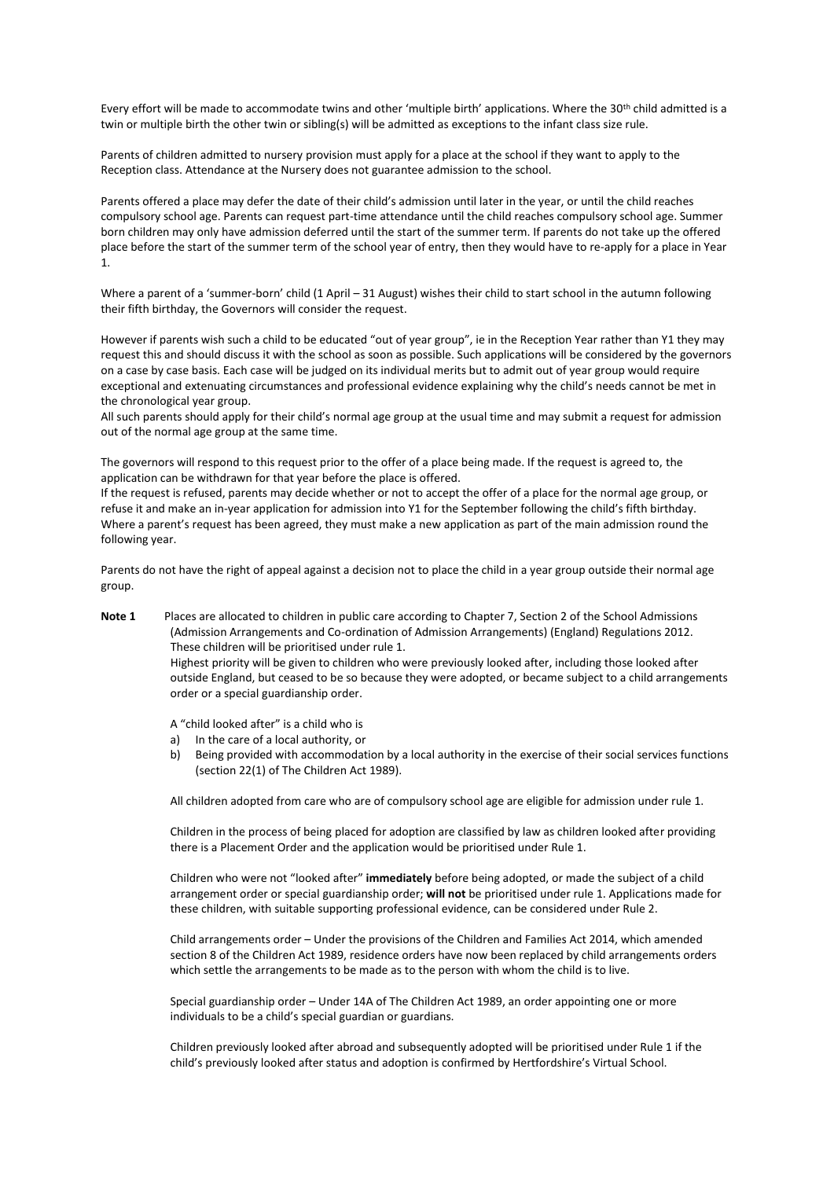Every effort will be made to accommodate twins and other 'multiple birth' applications. Where the 30<sup>th</sup> child admitted is a twin or multiple birth the other twin or sibling(s) will be admitted as exceptions to the infant class size rule.

Parents of children admitted to nursery provision must apply for a place at the school if they want to apply to the Reception class. Attendance at the Nursery does not guarantee admission to the school.

Parents offered a place may defer the date of their child's admission until later in the year, or until the child reaches compulsory school age. Parents can request part-time attendance until the child reaches compulsory school age. Summer born children may only have admission deferred until the start of the summer term. If parents do not take up the offered place before the start of the summer term of the school year of entry, then they would have to re-apply for a place in Year 1.

Where a parent of a 'summer-born' child (1 April – 31 August) wishes their child to start school in the autumn following their fifth birthday, the Governors will consider the request.

However if parents wish such a child to be educated "out of year group", ie in the Reception Year rather than Y1 they may request this and should discuss it with the school as soon as possible. Such applications will be considered by the governors on a case by case basis. Each case will be judged on its individual merits but to admit out of year group would require exceptional and extenuating circumstances and professional evidence explaining why the child's needs cannot be met in the chronological year group.

All such parents should apply for their child's normal age group at the usual time and may submit a request for admission out of the normal age group at the same time.

The governors will respond to this request prior to the offer of a place being made. If the request is agreed to, the application can be withdrawn for that year before the place is offered.

If the request is refused, parents may decide whether or not to accept the offer of a place for the normal age group, or refuse it and make an in-year application for admission into Y1 for the September following the child's fifth birthday. Where a parent's request has been agreed, they must make a new application as part of the main admission round the following year.

Parents do not have the right of appeal against a decision not to place the child in a year group outside their normal age group.

**Note 1** Places are allocated to children in public care according to Chapter 7, Section 2 of the School Admissions (Admission Arrangements and Co-ordination of Admission Arrangements) (England) Regulations 2012. These children will be prioritised under rule 1. Highest priority will be given to children who were previously looked after, including those looked after outside England, but ceased to be so because they were adopted, or became subject to a child arrangements order or a special guardianship order.

A "child looked after" is a child who is

- a) In the care of a local authority, or
- b) Being provided with accommodation by a local authority in the exercise of their social services functions (section 22(1) of The Children Act 1989).

All children adopted from care who are of compulsory school age are eligible for admission under rule 1.

Children in the process of being placed for adoption are classified by law as children looked after providing there is a Placement Order and the application would be prioritised under Rule 1.

Children who were not "looked after" **immediately** before being adopted, or made the subject of a child arrangement order or special guardianship order; **will not** be prioritised under rule 1. Applications made for these children, with suitable supporting professional evidence, can be considered under Rule 2.

Child arrangements order – Under the provisions of the Children and Families Act 2014, which amended section 8 of the Children Act 1989, residence orders have now been replaced by child arrangements orders which settle the arrangements to be made as to the person with whom the child is to live.

Special guardianship order – Under 14A of The Children Act 1989, an order appointing one or more individuals to be a child's special guardian or guardians.

Children previously looked after abroad and subsequently adopted will be prioritised under Rule 1 if the child's previously looked after status and adoption is confirmed by Hertfordshire's Virtual School.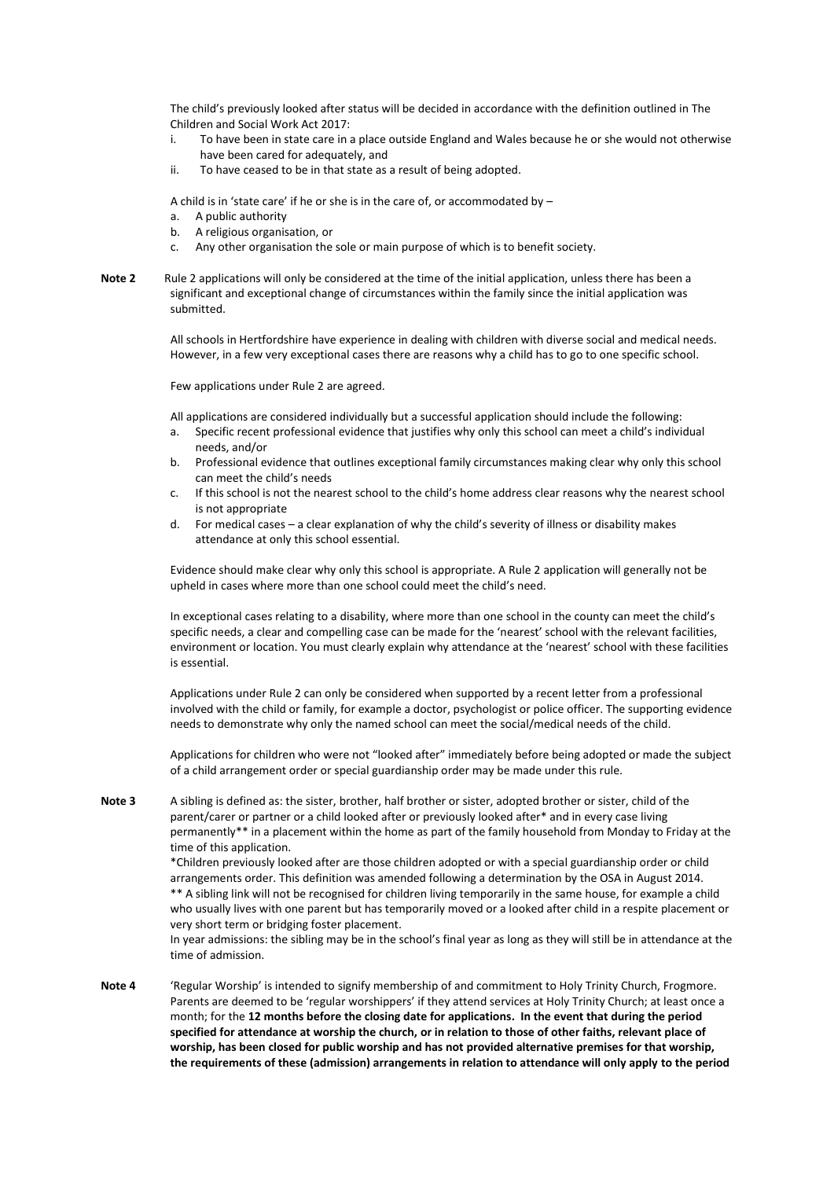The child's previously looked after status will be decided in accordance with the definition outlined in The Children and Social Work Act 2017:

- i. To have been in state care in a place outside England and Wales because he or she would not otherwise have been cared for adequately, and
- ii. To have ceased to be in that state as a result of being adopted.

A child is in 'state care' if he or she is in the care of, or accommodated by –

- a. A public authority
- b. A religious organisation, or
- c. Any other organisation the sole or main purpose of which is to benefit society.
- **Note 2** Rule 2 applications will only be considered at the time of the initial application, unless there has been a significant and exceptional change of circumstances within the family since the initial application was submitted.

All schools in Hertfordshire have experience in dealing with children with diverse social and medical needs. However, in a few very exceptional cases there are reasons why a child has to go to one specific school.

Few applications under Rule 2 are agreed.

All applications are considered individually but a successful application should include the following:

- a. Specific recent professional evidence that justifies why only this school can meet a child's individual needs, and/or
- b. Professional evidence that outlines exceptional family circumstances making clear why only this school can meet the child's needs
- c. If this school is not the nearest school to the child's home address clear reasons why the nearest school is not appropriate
- d. For medical cases a clear explanation of why the child's severity of illness or disability makes attendance at only this school essential.

Evidence should make clear why only this school is appropriate. A Rule 2 application will generally not be upheld in cases where more than one school could meet the child's need.

In exceptional cases relating to a disability, where more than one school in the county can meet the child's specific needs, a clear and compelling case can be made for the 'nearest' school with the relevant facilities, environment or location. You must clearly explain why attendance at the 'nearest' school with these facilities is essential.

Applications under Rule 2 can only be considered when supported by a recent letter from a professional involved with the child or family, for example a doctor, psychologist or police officer. The supporting evidence needs to demonstrate why only the named school can meet the social/medical needs of the child.

Applications for children who were not "looked after" immediately before being adopted or made the subject of a child arrangement order or special guardianship order may be made under this rule.

**Note 3** A sibling is defined as: the sister, brother, half brother or sister, adopted brother or sister, child of the parent/carer or partner or a child looked after or previously looked after\* and in every case living permanently\*\* in a placement within the home as part of the family household from Monday to Friday at the time of this application.

> \*Children previously looked after are those children adopted or with a special guardianship order or child arrangements order. This definition was amended following a determination by the OSA in August 2014. \*\* A sibling link will not be recognised for children living temporarily in the same house, for example a child who usually lives with one parent but has temporarily moved or a looked after child in a respite placement or very short term or bridging foster placement.

> In year admissions: the sibling may be in the school's final year as long as they will still be in attendance at the time of admission.

**Note 4** 'Regular Worship' is intended to signify membership of and commitment to Holy Trinity Church, Frogmore. Parents are deemed to be 'regular worshippers' if they attend services at Holy Trinity Church; at least once a month; for the **12 months before the closing date for applications. In the event that during the period specified for attendance at worship the church, or in relation to those of other faiths, relevant place of worship, has been closed for public worship and has not provided alternative premises for that worship, the requirements of these (admission) arrangements in relation to attendance will only apply to the period**